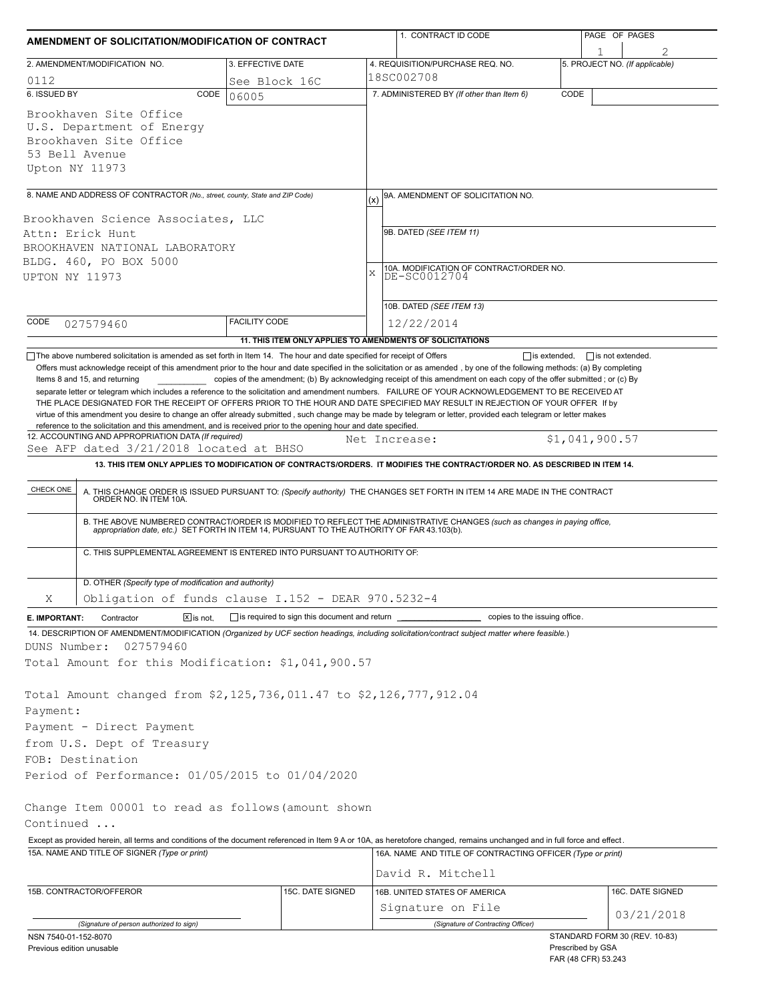| AMENDMENT OF SOLICITATION/MODIFICATION OF CONTRACT                                                                                                                                                                                                                                                                                                                                   |                                              | 1. CONTRACT ID CODE |                                                                                                                                                                                                                                                                                                                                                                              | PAGE OF PAGES       |                                |  |  |
|--------------------------------------------------------------------------------------------------------------------------------------------------------------------------------------------------------------------------------------------------------------------------------------------------------------------------------------------------------------------------------------|----------------------------------------------|---------------------|------------------------------------------------------------------------------------------------------------------------------------------------------------------------------------------------------------------------------------------------------------------------------------------------------------------------------------------------------------------------------|---------------------|--------------------------------|--|--|
| 2. AMENDMENT/MODIFICATION NO.                                                                                                                                                                                                                                                                                                                                                        | 3. EFFECTIVE DATE                            |                     | 4. REQUISITION/PURCHASE REQ. NO.                                                                                                                                                                                                                                                                                                                                             |                     | 5. PROJECT NO. (If applicable) |  |  |
| 0112                                                                                                                                                                                                                                                                                                                                                                                 | See Block 16C                                |                     | 18SC002708                                                                                                                                                                                                                                                                                                                                                                   |                     |                                |  |  |
| 6. ISSUED BY<br>CODE                                                                                                                                                                                                                                                                                                                                                                 | 06005                                        |                     | 7. ADMINISTERED BY (If other than Item 6)                                                                                                                                                                                                                                                                                                                                    | CODE                |                                |  |  |
| Brookhaven Site Office<br>U.S. Department of Energy<br>Brookhaven Site Office<br>53 Bell Avenue<br>Upton NY 11973                                                                                                                                                                                                                                                                    |                                              |                     |                                                                                                                                                                                                                                                                                                                                                                              |                     |                                |  |  |
| 8. NAME AND ADDRESS OF CONTRACTOR (No., street, county, State and ZIP Code)                                                                                                                                                                                                                                                                                                          |                                              |                     | 9A. AMENDMENT OF SOLICITATION NO.                                                                                                                                                                                                                                                                                                                                            |                     |                                |  |  |
|                                                                                                                                                                                                                                                                                                                                                                                      |                                              | (x)                 |                                                                                                                                                                                                                                                                                                                                                                              |                     |                                |  |  |
| Brookhaven Science Associates, LLC                                                                                                                                                                                                                                                                                                                                                   |                                              |                     | 9B. DATED (SEE ITEM 11)                                                                                                                                                                                                                                                                                                                                                      |                     |                                |  |  |
| Attn: Erick Hunt<br>BROOKHAVEN NATIONAL LABORATORY                                                                                                                                                                                                                                                                                                                                   |                                              |                     |                                                                                                                                                                                                                                                                                                                                                                              |                     |                                |  |  |
| BLDG. 460, PO BOX 5000                                                                                                                                                                                                                                                                                                                                                               |                                              |                     |                                                                                                                                                                                                                                                                                                                                                                              |                     |                                |  |  |
| UPTON NY 11973                                                                                                                                                                                                                                                                                                                                                                       |                                              | X                   | 10A. MODIFICATION OF CONTRACT/ORDER NO.<br>DE-SC0012704                                                                                                                                                                                                                                                                                                                      |                     |                                |  |  |
|                                                                                                                                                                                                                                                                                                                                                                                      |                                              |                     |                                                                                                                                                                                                                                                                                                                                                                              |                     |                                |  |  |
|                                                                                                                                                                                                                                                                                                                                                                                      |                                              |                     | 10B. DATED (SEE ITEM 13)                                                                                                                                                                                                                                                                                                                                                     |                     |                                |  |  |
| CODE<br>027579460                                                                                                                                                                                                                                                                                                                                                                    | <b>FACILITY CODE</b>                         |                     | 12/22/2014                                                                                                                                                                                                                                                                                                                                                                   |                     |                                |  |  |
| The above numbered solicitation is amended as set forth in Item 14. The hour and date specified for receipt of Offers                                                                                                                                                                                                                                                                |                                              |                     | 11. THIS ITEM ONLY APPLIES TO AMENDMENTS OF SOLICITATIONS                                                                                                                                                                                                                                                                                                                    | $\Box$ is extended, | $\Box$ is not extended.        |  |  |
| virtue of this amendment you desire to change an offer already submitted, such change may be made by telegram or letter, provided each telegram or letter makes<br>reference to the solicitation and this amendment, and is received prior to the opening hour and date specified.<br>12. ACCOUNTING AND APPROPRIATION DATA (If required)<br>See AFP dated 3/21/2018 located at BHSO |                                              |                     | Net Increase:                                                                                                                                                                                                                                                                                                                                                                | \$1,041,900.57      |                                |  |  |
|                                                                                                                                                                                                                                                                                                                                                                                      |                                              |                     | 13. THIS ITEM ONLY APPLIES TO MODIFICATION OF CONTRACTS/ORDERS. IT MODIFIES THE CONTRACT/ORDER NO. AS DESCRIBED IN ITEM 14.                                                                                                                                                                                                                                                  |                     |                                |  |  |
| CHECK ONE<br>C. THIS SUPPLEMENTAL AGREEMENT IS ENTERED INTO PURSUANT TO AUTHORITY OF:                                                                                                                                                                                                                                                                                                |                                              |                     | A. THIS CHANGE ORDER IS ISSUED PURSUANT TO: (Specify authority) THE CHANGES SET FORTH IN ITEM 14 ARE MADE IN THE CONTRACT ORDER NO. IN ITEM 10A.<br>B. THE ABOVE NUMBERED CONTRACT/ORDER IS MODIFIED TO REFLECT THE ADMINISTRATIVE CHANGES (such as changes in paying office,<br>appropriation date, etc.) SET FORTH IN ITEM 14, PURSUANT TO THE AUTHORITY OF FAR 43.103(b). |                     |                                |  |  |
|                                                                                                                                                                                                                                                                                                                                                                                      |                                              |                     |                                                                                                                                                                                                                                                                                                                                                                              |                     |                                |  |  |
| D. OTHER (Specify type of modification and authority)                                                                                                                                                                                                                                                                                                                                |                                              |                     |                                                                                                                                                                                                                                                                                                                                                                              |                     |                                |  |  |
| Obligation of funds clause I.152 - DEAR 970.5232-4<br>Χ                                                                                                                                                                                                                                                                                                                              |                                              |                     |                                                                                                                                                                                                                                                                                                                                                                              |                     |                                |  |  |
| Contractor<br>$X$ is not.<br>E. IMPORTANT:<br>14. DESCRIPTION OF AMENDMENT/MODIFICATION (Organized by UCF section headings, including solicitation/contract subject matter where feasible.)<br>DUNS Number:<br>027579460<br>Total Amount for this Modification: \$1,041,900.57                                                                                                       | is required to sign this document and return |                     | copies to the issuing office.                                                                                                                                                                                                                                                                                                                                                |                     |                                |  |  |
| Total Amount changed from \$2,125,736,011.47 to \$2,126,777,912.04                                                                                                                                                                                                                                                                                                                   |                                              |                     |                                                                                                                                                                                                                                                                                                                                                                              |                     |                                |  |  |
| Payment:                                                                                                                                                                                                                                                                                                                                                                             |                                              |                     |                                                                                                                                                                                                                                                                                                                                                                              |                     |                                |  |  |
| Payment - Direct Payment                                                                                                                                                                                                                                                                                                                                                             |                                              |                     |                                                                                                                                                                                                                                                                                                                                                                              |                     |                                |  |  |
| from U.S. Dept of Treasury                                                                                                                                                                                                                                                                                                                                                           |                                              |                     |                                                                                                                                                                                                                                                                                                                                                                              |                     |                                |  |  |
| FOB: Destination                                                                                                                                                                                                                                                                                                                                                                     |                                              |                     |                                                                                                                                                                                                                                                                                                                                                                              |                     |                                |  |  |
| Period of Performance: 01/05/2015 to 01/04/2020                                                                                                                                                                                                                                                                                                                                      |                                              |                     |                                                                                                                                                                                                                                                                                                                                                                              |                     |                                |  |  |
| Change Item 00001 to read as follows (amount shown<br>Continued                                                                                                                                                                                                                                                                                                                      |                                              |                     |                                                                                                                                                                                                                                                                                                                                                                              |                     |                                |  |  |
| Except as provided herein, all terms and conditions of the document referenced in Item 9 A or 10A, as heretofore changed, remains unchanged and in full force and effect.<br>15A. NAME AND TITLE OF SIGNER (Type or print)                                                                                                                                                           |                                              |                     | 16A. NAME AND TITLE OF CONTRACTING OFFICER (Type or print)                                                                                                                                                                                                                                                                                                                   |                     |                                |  |  |
|                                                                                                                                                                                                                                                                                                                                                                                      |                                              |                     | David R. Mitchell                                                                                                                                                                                                                                                                                                                                                            |                     |                                |  |  |
| 15B. CONTRACTOR/OFFEROR                                                                                                                                                                                                                                                                                                                                                              | 15C. DATE SIGNED                             |                     | 16B. UNITED STATES OF AMERICA                                                                                                                                                                                                                                                                                                                                                |                     | 16C. DATE SIGNED               |  |  |
|                                                                                                                                                                                                                                                                                                                                                                                      |                                              |                     | Signature on File                                                                                                                                                                                                                                                                                                                                                            |                     |                                |  |  |
| (Signature of person authorized to sign)                                                                                                                                                                                                                                                                                                                                             |                                              |                     | (Signature of Contracting Officer)                                                                                                                                                                                                                                                                                                                                           |                     | 03/21/2018                     |  |  |
| NSN 7540-01-152-8070<br>Provious edition unusable                                                                                                                                                                                                                                                                                                                                    |                                              |                     |                                                                                                                                                                                                                                                                                                                                                                              | Prescribed by GSA   | STANDARD FORM 30 (REV. 10-83)  |  |  |

| Previous edition unusable |
|---------------------------|
|---------------------------|

Prescribed by GSA FAR (48 CFR) 53.243